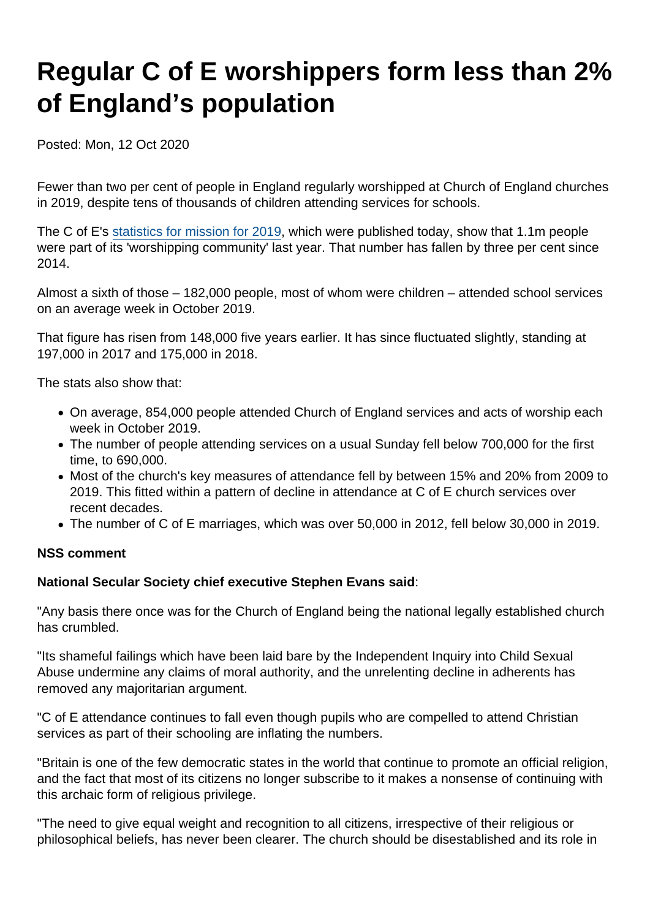## Regular C of E worshippers form less than 2% of England's population

Posted: Mon, 12 Oct 2020

Fewer than two per cent of people in England regularly worshipped at Church of England churches in 2019, despite tens of thousands of children attending services for schools.

The C of E's [statistics for mission for 2019,](https://www.churchofengland.org/sites/default/files/2020-10/2019StatisticsForMission.pdf) which were published today, show that 1.1m people were part of its 'worshipping community' last year. That number has fallen by three per cent since 2014.

Almost a sixth of those – 182,000 people, most of whom were children – attended school services on an average week in October 2019.

That figure has risen from 148,000 five years earlier. It has since fluctuated slightly, standing at 197,000 in 2017 and 175,000 in 2018.

The stats also show that:

- On average, 854,000 people attended Church of England services and acts of worship each week in October 2019.
- The number of people attending services on a usual Sunday fell below 700,000 for the first time, to 690,000.
- Most of the church's key measures of attendance fell by between 15% and 20% from 2009 to 2019. This fitted within a pattern of decline in attendance at C of E church services over recent decades.
- The number of C of E marriages, which was over 50,000 in 2012, fell below 30,000 in 2019.

NSS comment

National Secular Society chief executive Stephen Evans said :

"Any basis there once was for the Church of England being the national legally established church has crumbled.

"Its shameful failings which have been laid bare by the Independent Inquiry into Child Sexual Abuse undermine any claims of moral authority, and the unrelenting decline in adherents has removed any majoritarian argument.

"C of E attendance continues to fall even though pupils who are compelled to attend Christian services as part of their schooling are inflating the numbers.

"Britain is one of the few democratic states in the world that continue to promote an official religion, and the fact that most of its citizens no longer subscribe to it makes a nonsense of continuing with this archaic form of religious privilege.

"The need to give equal weight and recognition to all citizens, irrespective of their religious or philosophical beliefs, has never been clearer. The church should be disestablished and its role in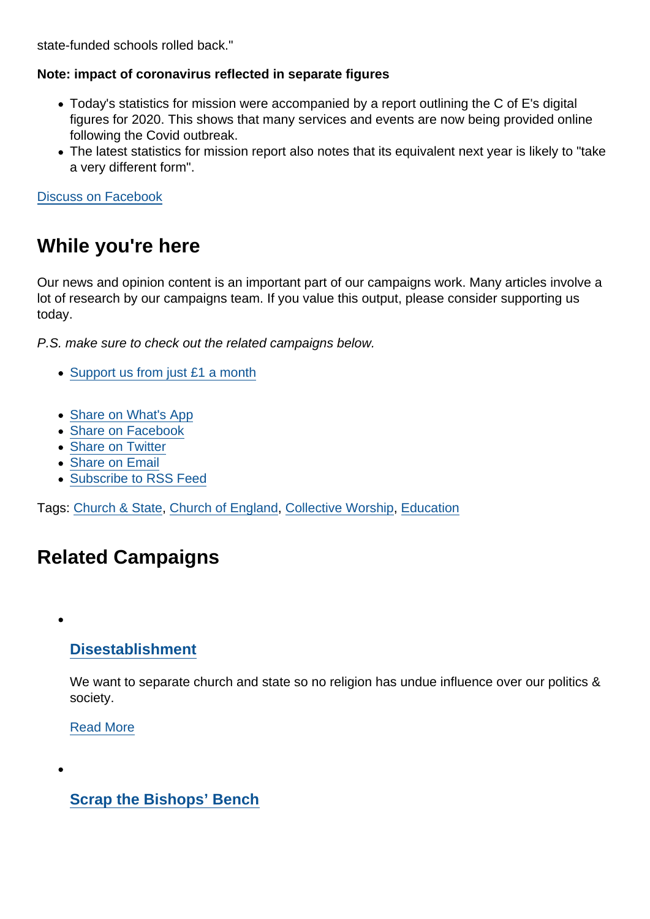state-funded schools rolled back."

Note: impact of coronavirus reflected in separate figures

- Today's statistics for mission were accompanied by a report outlining the C of E's digital figures for 2020. This shows that many services and events are now being provided online following the Covid outbreak.
- The latest statistics for mission report also notes that its equivalent next year is likely to "take a very different form".

[Discuss on Facebook](https://www.facebook.com/NationalSecularSociety/posts/3399674346767559?__xts__[0]=68.ARArg-Gw9bS5D19xyYwjBFrfzS2511jasmEZdkoFyKfDmBdf1TYpmfJYxRprof6jqBn8E76wZsfwLQavcWLYqsYMWBJF5pogOI0786-4gVsR6bPzXbT8ZqRuzkLY_W5VZ5joG0Y8MnqESI4W-Gr0-JNRz1Kd-G4JTIgyilmZfjcQAkYROXyu_tPLLlt1JRHzAzQXEb1Kd8EdHhbBI5FVLgVVxhCINFWEjVsKvC8XPM2XJ-cpCAXWT9xlnA7coCSgxyM8iaNdcH2DtuNQ0hYMQ254vtAAj_GenDQudk5H6pt9fA-vOXykaxT1Baq_juA0DInb9C4C0SEc5eKwgOF3ZQCssw&__tn__=-R)

## While you're here

Our news and opinion content is an important part of our campaigns work. Many articles involve a lot of research by our campaigns team. If you value this output, please consider supporting us today.

P.S. make sure to check out the related campaigns below.

- [Support us from just £1 a month](https://www.secularism.org.uk/donate.html)
- [Share on What's App](whatsapp://send?text=http://www.secularism.org.uk/news/2020/10/regular-c-of-e-worshippers-form-less-than-2-percent-of-englands-population?format=pdf)
- [Share on Facebook](https://www.facebook.com/sharer/sharer.php?u=http://www.secularism.org.uk/news/2020/10/regular-c-of-e-worshippers-form-less-than-2-percent-of-englands-population?format=pdf&t=Regular+C+of+E+worshippers+form+less+than+2%+of+England’s+population)
- [Share on Twitter](https://twitter.com/intent/tweet?url=http://www.secularism.org.uk/news/2020/10/regular-c-of-e-worshippers-form-less-than-2-percent-of-englands-population?format=pdf&text=Regular+C+of+E+worshippers+form+less+than+2%+of+England’s+population&via=NatSecSoc)
- [Share on Email](https://www.secularism.org.uk/share.html?url=http://www.secularism.org.uk/news/2020/10/regular-c-of-e-worshippers-form-less-than-2-percent-of-englands-population?format=pdf&title=Regular+C+of+E+worshippers+form+less+than+2%+of+England’s+population)
- [Subscribe to RSS Feed](/mnt/web-data/www/cp-nss/feeds/rss/news)

Tags: [Church & State,](https://www.secularism.org.uk/news/tags/Church+&+State) [Church of England,](https://www.secularism.org.uk/news/tags/Church+of+England) [Collective Worship,](https://www.secularism.org.uk/news/tags/Collective+Worship) [Education](https://www.secularism.org.uk/news/tags/Education)

## Related Campaigns

## **[Disestablishment](https://www.secularism.org.uk/disestablishment/)**

We want to separate church and state so no religion has undue influence over our politics & society.

[Read More](https://www.secularism.org.uk/disestablishment/)

[Scrap the Bishops' Bench](https://www.secularism.org.uk/scrap-bishops-bench/)